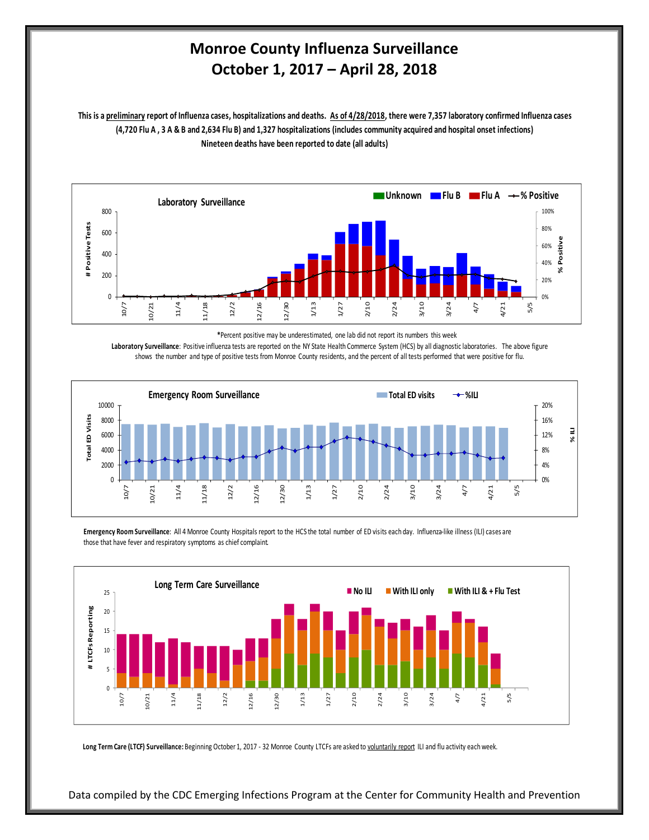## **Monroe County Influenza Surveillance October 1, 2017 – April 28, 2018**

**Nineteen deaths have been reported to date (all adults) This is a preliminary report of Influenza cases, hospitalizations and deaths. As of 4/28/2018, there were 7,357 laboratory confirmed Influenza cases (4,720 Flu A , 3 A & B and 2,634 Flu B) and 1,327 hospitalizations (includes community acquired and hospital onset infections)**



**\***Percent positive may be underestimated, one lab did not report its numbers this week

**Laboratory Surveillance**: Positive influenza tests are reported on the NY State Health Commerce System (HCS) by all diagnostic laboratories. The above figure shows the number and type of positive tests from Monroe County residents, and the percent of all tests performed that were positive for flu.



**Emergency Room Surveillance**: All 4 Monroe County Hospitals report to the HCS the total number of ED visits each day. Influenza-like illness (ILI) cases are those that have fever and respiratory symptoms as chief complaint.



Long Term Care (LTCF) Surveillance: Beginning October 1, 2017 - 32 Monroe County LTCFs are asked to voluntarily report ILI and flu activity each week.

Data compiled by the CDC Emerging Infections Program at the Center for Community Health and Prevention